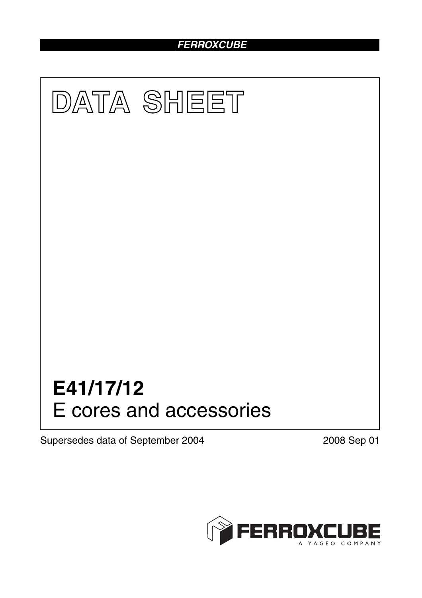# *FERROXCUBE*



Supersedes data of September 2004 2008 Sep 01

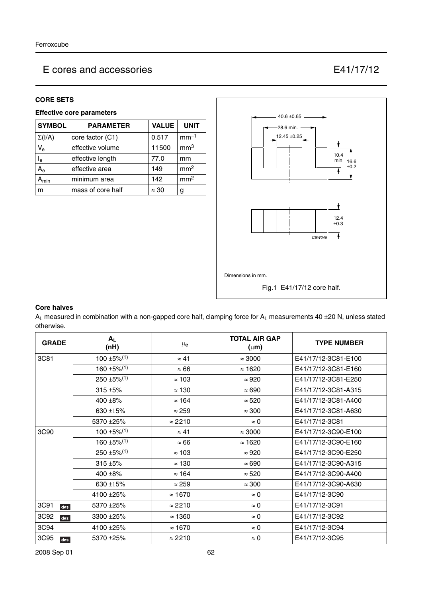### **CORE SETS**

## **Effective core parameters**

| <b>SYMBOL</b>           | <b>PARAMETER</b>  | <b>VALUE</b> | <b>UNIT</b>     |
|-------------------------|-------------------|--------------|-----------------|
| $\Sigma(I/A)$           | core factor (C1)  | 0.517        | $mm-1$          |
| $V_{\rm e}$             | effective volume  | 11500        | mm <sup>3</sup> |
| $\mathsf{I}_\mathsf{e}$ | effective length  | 77.0         | mm              |
| $A_{\rm e}$             | effective area    | 149          | mm <sup>2</sup> |
| <b>min</b>              | minimum area      | 142          | mm <sup>2</sup> |
| m                       | mass of core half | $\approx 30$ | g               |



### **Core halves**

 $A_L$  measured in combination with a non-gapped core half, clamping force for  $A_L$  measurements 40 ±20 N, unless stated otherwise.

| <b>GRADE</b> | $A_{L}$<br>(nH)              | $\mu_{\mathbf{e}}$ | <b>TOTAL AIR GAP</b><br>$(\mu m)$ | <b>TYPE NUMBER</b>  |
|--------------|------------------------------|--------------------|-----------------------------------|---------------------|
| 3C81         | $100 \pm 5\%$ <sup>(1)</sup> | $\approx 41$       | $\approx 3000$                    | E41/17/12-3C81-E100 |
|              | 160 $\pm$ 5% <sup>(1)</sup>  | $\approx 66$       | $\approx$ 1620                    | E41/17/12-3C81-E160 |
|              | $250 \pm 5\%/1)$             | $\approx$ 103      | $\approx 920$                     | E41/17/12-3C81-E250 |
|              | $315 + 5%$                   | $\approx$ 130      | $\approx 690$                     | E41/17/12-3C81-A315 |
|              | $400 + 8\%$                  | $\approx$ 164      | $\approx 520$                     | E41/17/12-3C81-A400 |
|              | $630 + 15%$                  | $\approx 259$      | $\approx 300$                     | E41/17/12-3C81-A630 |
|              | 5370 ±25%                    | $\approx$ 2210     | $\approx 0$                       | E41/17/12-3C81      |
| 3C90         | $100 \pm 5\%$ <sup>(1)</sup> | $\approx 41$       | $\approx 3000$                    | E41/17/12-3C90-E100 |
|              | $160 + 5\%/1$                | $\approx 66$       | $\approx$ 1620                    | E41/17/12-3C90-E160 |
|              | $250 \pm 5\%$ <sup>(1)</sup> | $\approx$ 103      | $\approx 920$                     | E41/17/12-3C90-E250 |
|              | $315 + 5%$                   | $\approx$ 130      | $\approx 690$                     | E41/17/12-3C90-A315 |
|              | 400 ±8%                      | $\approx$ 164      | $\approx 520$                     | E41/17/12-3C90-A400 |
|              | 630 ±15%                     | $\approx$ 259      | $\approx 300$                     | E41/17/12-3C90-A630 |
|              | 4100 ±25%                    | $\approx 1670$     | $\approx 0$                       | E41/17/12-3C90      |
| 3C91<br>des  | 5370 ± 25%                   | $\approx$ 2210     | $\approx 0$                       | E41/17/12-3C91      |
| 3C92<br>des  | 3300 ± 25%                   | $\approx$ 1360     | $\approx 0$                       | E41/17/12-3C92      |
| 3C94         | 4100 ± 25%                   | $\approx$ 1670     | $\approx 0$                       | E41/17/12-3C94      |
| 3C95<br>des  | 5370 ± 25%                   | $\approx$ 2210     | $\approx 0$                       | E41/17/12-3C95      |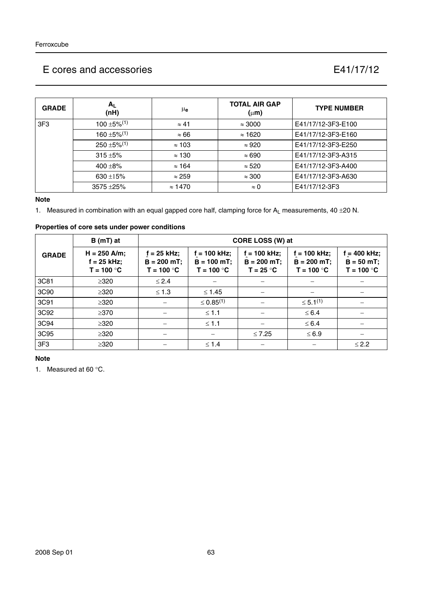| <b>GRADE</b>    | $A_{L}$<br>(nH)              | μe             | <b>TOTAL AIR GAP</b><br>$(\mu m)$ | <b>TYPE NUMBER</b> |
|-----------------|------------------------------|----------------|-----------------------------------|--------------------|
| 3F <sub>3</sub> | $100 + 5\%$ <sup>(1)</sup>   | $\approx 41$   | $\approx 3000$                    | E41/17/12-3F3-E100 |
|                 | $160 \pm 5\%$ <sup>(1)</sup> | $\approx 66$   | $\approx$ 1620                    | E41/17/12-3F3-E160 |
|                 | $250 \pm 5\%/1$              | $\approx$ 103  | $\approx 920$                     | E41/17/12-3F3-E250 |
|                 | $315 + 5%$                   | $\approx$ 130  | $\approx 690$                     | E41/17/12-3F3-A315 |
|                 | 400 $\pm$ 8%                 | $\approx$ 164  | $\approx 520$                     | E41/17/12-3F3-A400 |
|                 | 630 $\pm$ 15%                | $\approx$ 259  | $\approx 300$                     | E41/17/12-3F3-A630 |
|                 | $3575 + 25%$                 | $\approx$ 1470 | $\approx 0$                       | E41/17/12-3F3      |

#### **Note**

1. Measured in combination with an equal gapped core half, clamping force for  $A_L$  measurements, 40  $\pm$ 20 N.

|              | properties of core sets under power conditions? |                                              |                                                 |                                                |                                                 |                                                |  |  |
|--------------|-------------------------------------------------|----------------------------------------------|-------------------------------------------------|------------------------------------------------|-------------------------------------------------|------------------------------------------------|--|--|
|              | $B(mT)$ at                                      |                                              | CORE LOSS (W) at                                |                                                |                                                 |                                                |  |  |
| <b>GRADE</b> | $H = 250$ A/m;<br>$f = 25$ kHz;<br>$T = 100 °C$ | f = 25 kHz;<br>$B = 200$ mT;<br>$T = 100 °C$ | $f = 100$ kHz;<br>$B = 100$ mT;<br>$T = 100 °C$ | $f = 100$ kHz;<br>$B = 200$ mT;<br>$T = 25 °C$ | $f = 100$ kHz;<br>$B = 200$ mT;<br>$T = 100 °C$ | $f = 400$ kHz;<br>$B = 50 mT;$<br>$T = 100 °C$ |  |  |
| 3C81         | $\geq 320$                                      | $\leq$ 2.4                                   |                                                 |                                                |                                                 |                                                |  |  |
| 3C90         | $\geq$ 320                                      | $\leq 1.3$                                   | $≤ 1.45$                                        |                                                |                                                 |                                                |  |  |
| 3C91         | $\geq 320$                                      |                                              | $\leq 0.85^{(1)}$                               |                                                | $\leq 5.1^{(1)}$                                |                                                |  |  |
| 3C92         | $\geq$ 370                                      |                                              | $\leq 1.1$                                      |                                                | $\leq 6.4$                                      |                                                |  |  |
| 3C94         | $\geq$ 320                                      |                                              | $\leq 1.1$                                      |                                                | $\leq 6.4$                                      |                                                |  |  |
| 3C95         | $\geq$ 320                                      |                                              |                                                 | $\leq 7.25$                                    | $\leq 6.9$                                      |                                                |  |  |

3F3 ≥320 − ≤ 1.4 − − ≤ 2.2

#### **Properties of core sets under power conditions**

#### **Note**

1. Measured at 60 °C.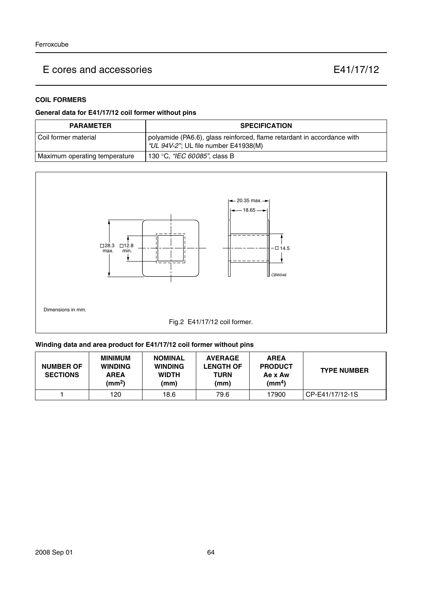# **COIL FORMERS**

## **General data for E41/17/12 coil former without pins**

| <b>PARAMETER</b>              | <b>SPECIFICATION</b>                                                                                            |
|-------------------------------|-----------------------------------------------------------------------------------------------------------------|
| l Coil former material        | polyamide (PA6.6), glass reinforced, flame retardant in accordance with<br>"UL 94V-2"; UL file number E41938(M) |
| Maximum operating temperature | 130 °C, <i>"IEC 60085"</i> , class B                                                                            |



## **Winding data and area product for E41/17/12 coil former without pins**

| <b>NUMBER OF</b><br><b>SECTIONS</b> | <b>MINIMUM</b><br><b>WINDING</b><br><b>AREA</b><br>(mm <sup>2</sup> ) | <b>NOMINAL</b><br><b>WINDING</b><br><b>WIDTH</b><br>(mm) | <b>AVERAGE</b><br><b>LENGTH OF</b><br>TURN<br>(mm) | <b>AREA</b><br><b>PRODUCT</b><br>Ae x Aw<br>(mm <sup>4</sup> ) | <b>TYPE NUMBER</b> |
|-------------------------------------|-----------------------------------------------------------------------|----------------------------------------------------------|----------------------------------------------------|----------------------------------------------------------------|--------------------|
|                                     | 120                                                                   | 18.6                                                     | 79.6                                               | 17900                                                          | CP-E41/17/12-1S    |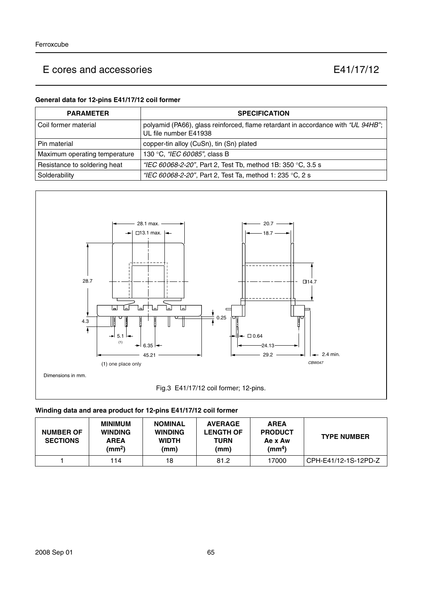## **General data for 12-pins E41/17/12 coil former**

| <b>PARAMETER</b>              | <b>SPECIFICATION</b>                                                                                      |
|-------------------------------|-----------------------------------------------------------------------------------------------------------|
| l Coil former material        | polyamid (PA66), glass reinforced, flame retardant in accordance with "UL 94HB";<br>UL file number E41938 |
| Pin material                  | copper-tin alloy (CuSn), tin (Sn) plated                                                                  |
| Maximum operating temperature | 130 °C, "IEC 60085", class B                                                                              |
| Resistance to soldering heat  | "IEC 60068-2-20", Part 2, Test Tb, method 1B: 350 °C, 3.5 s                                               |
| Solderability                 | "IEC 60068-2-20", Part 2, Test Ta, method 1: 235 °C, 2 s                                                  |



## **Winding data and area product for 12-pins E41/17/12 coil former**

| <b>NUMBER OF</b><br><b>SECTIONS</b> | <b>MINIMUM</b><br><b>WINDING</b><br><b>AREA</b><br>(mm <sup>2</sup> ) | <b>NOMINAL</b><br><b>WINDING</b><br><b>WIDTH</b><br>(mm) | <b>AVERAGE</b><br><b>LENGTH OF</b><br>TURN<br>(mm) | <b>AREA</b><br><b>PRODUCT</b><br>Ae x Aw<br>(mm <sup>4</sup> ) | <b>TYPE NUMBER</b>   |
|-------------------------------------|-----------------------------------------------------------------------|----------------------------------------------------------|----------------------------------------------------|----------------------------------------------------------------|----------------------|
|                                     | 114                                                                   | 18                                                       | 81.2                                               | 17000                                                          | CPH-E41/12-1S-12PD-Z |